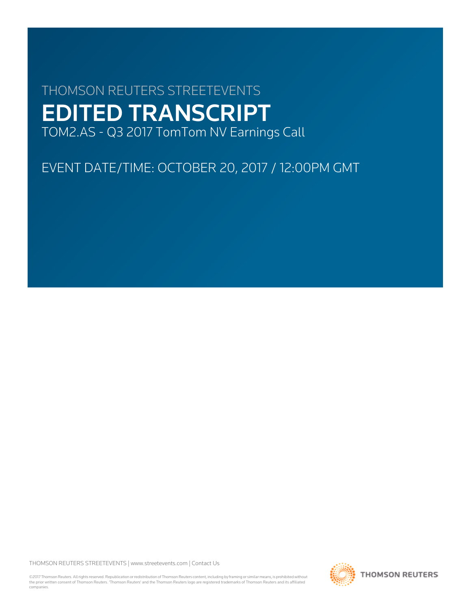# THOMSON REUTERS STREETEVENTS EDITED TRANSCRIPT TOM2.AS - Q3 2017 TomTom NV Earnings Call

EVENT DATE/TIME: OCTOBER 20, 2017 / 12:00PM GMT

THOMSON REUTERS STREETEVENTS | [www.streetevents.com](http://www.streetevents.com) | [Contact Us](http://www010.streetevents.com/contact.asp)

©2017 Thomson Reuters. All rights reserved. Republication or redistribution of Thomson Reuters content, including by framing or similar means, is prohibited without the prior written consent of Thomson Reuters. 'Thomson Reuters' and the Thomson Reuters logo are registered trademarks of Thomson Reuters and its affiliated companies.

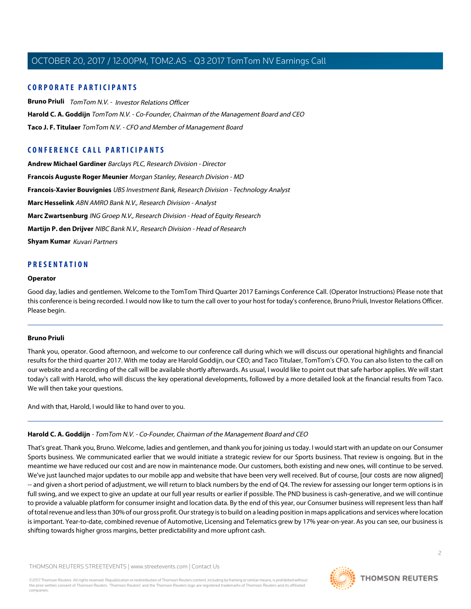# **CORPORATE PARTICIPANTS**

**[Bruno Priuli](#page-1-0)** TomTom N.V. - Investor Relations Officer **[Harold C. A. Goddijn](#page-1-1)** TomTom N.V. - Co-Founder, Chairman of the Management Board and CEO **[Taco J. F. Titulaer](#page-2-0)** TomTom N.V. - CFO and Member of Management Board

# **CONFERENCE CALL PARTICIPANTS**

**[Andrew Michael Gardiner](#page-5-0)** Barclays PLC, Research Division - Director **[Francois Auguste Roger Meunier](#page-13-0)** Morgan Stanley, Research Division - MD **[Francois-Xavier Bouvignies](#page-3-0)** UBS Investment Bank, Research Division - Technology Analyst **[Marc Hesselink](#page-7-0)** ABN AMRO Bank N.V., Research Division - Analyst **[Marc Zwartsenburg](#page-8-0)** ING Groep N.V., Research Division - Head of Equity Research **[Martijn P. den Drijver](#page-6-0)** NIBC Bank N.V., Research Division - Head of Research **[Shyam Kumar](#page-15-0)** Kuvari Partners

# **PRESENTATION**

#### **Operator**

<span id="page-1-0"></span>Good day, ladies and gentlemen. Welcome to the TomTom Third Quarter 2017 Earnings Conference Call. (Operator Instructions) Please note that this conference is being recorded. I would now like to turn the call over to your host for today's conference, Bruno Priuli, Investor Relations Officer. Please begin.

#### **Bruno Priuli**

Thank you, operator. Good afternoon, and welcome to our conference call during which we will discuss our operational highlights and financial results for the third quarter 2017. With me today are Harold Goddijn, our CEO; and Taco Titulaer, TomTom's CFO. You can also listen to the call on our website and a recording of the call will be available shortly afterwards. As usual, I would like to point out that safe harbor applies. We will start today's call with Harold, who will discuss the key operational developments, followed by a more detailed look at the financial results from Taco. We will then take your questions.

<span id="page-1-1"></span>And with that, Harold, I would like to hand over to you.

# **Harold C. A. Goddijn** - TomTom N.V. - Co-Founder, Chairman of the Management Board and CEO

That's great. Thank you, Bruno. Welcome, ladies and gentlemen, and thank you for joining us today. I would start with an update on our Consumer Sports business. We communicated earlier that we would initiate a strategic review for our Sports business. That review is ongoing. But in the meantime we have reduced our cost and are now in maintenance mode. Our customers, both existing and new ones, will continue to be served. We've just launched major updates to our mobile app and website that have been very well received. But of course, [our costs are now aligned] -- and given a short period of adjustment, we will return to black numbers by the end of Q4. The review for assessing our longer term options is in full swing, and we expect to give an update at our full year results or earlier if possible. The PND business is cash-generative, and we will continue to provide a valuable platform for consumer insight and location data. By the end of this year, our Consumer business will represent less than half of total revenue and less than 30% of our gross profit. Our strategy is to build on a leading position in maps applications and services where location is important. Year-to-date, combined revenue of Automotive, Licensing and Telematics grew by 17% year-on-year. As you can see, our business is shifting towards higher gross margins, better predictability and more upfront cash.

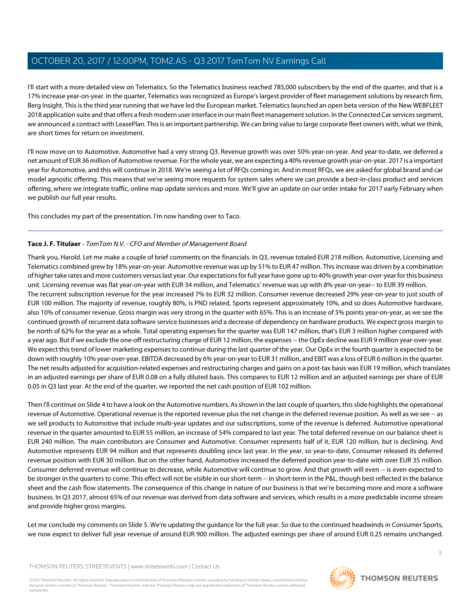I'll start with a more detailed view on Telematics. So the Telematics business reached 785,000 subscribers by the end of the quarter, and that is a 17% increase year-on-year. In the quarter, Telematics was recognized as Europe's largest provider of fleet management solutions by research firm, Berg Insight. This is the third year running that we have led the European market. Telematics launched an open beta version of the New WEBFLEET 2018 application suite and that offers a fresh modern user interface in our main fleet management solution. In the Connected Car services segment, we announced a contract with LeasePlan. This is an important partnership. We can bring value to large corporate fleet owners with, what we think, are short times for return on investment.

I'll now move on to Automotive. Automotive had a very strong Q3. Revenue growth was over 50% year-on-year. And year-to-date, we deferred a net amount of EUR 36 million of Automotive revenue. For the whole year, we are expecting a 40% revenue growth year-on-year. 2017 is a important year for Automotive, and this will continue in 2018. We're seeing a lot of RFQs coming in. And in most RFQs, we are asked for global brand and car model agnostic offering. This means that we're seeing more requests for system sales where we can provide a best-in-class product and services offering, where we integrate traffic, online map update services and more. We'll give an update on our order intake for 2017 early February when we publish our full year results.

<span id="page-2-0"></span>This concludes my part of the presentation. I'm now handing over to Taco.

# **Taco J. F. Titulaer** - TomTom N.V. - CFO and Member of Management Board

Thank you, Harold. Let me make a couple of brief comments on the financials. In Q3, revenue totaled EUR 218 million. Automotive, Licensing and Telematics combined grew by 18% year-on-year. Automotive revenue was up by 51% to EUR 47 million. This increase was driven by a combination of higher take rates and more customers versus last year. Our expectations for full year have gone up to 40% growth year-over-year for this business unit. Licensing revenue was flat year-on-year with EUR 34 million, and Telematics' revenue was up with 8% year-on-year-- to EUR 39 million. The recurrent subscription revenue for the year increased 7% to EUR 32 million. Consumer revenue decreased 29% year-on-year to just south of EUR 100 million. The majority of revenue, roughly 80%, is PND related, Sports represent approximately 10%, and so does Automotive hardware, also 10% of consumer revenue. Gross margin was very strong in the quarter with 65%. This is an increase of 5% points year-on-year, as we see the continued growth of recurrent data software service businesses and a decrease of dependency on hardware products. We expect gross margin to be north of 62% for the year as a whole. Total operating expenses for the quarter was EUR 147 million, that's EUR 3 million higher compared with a year ago. But if we exclude the one-off restructuring charge of EUR 12 million, the expenses -- the OpEx decline was EUR 9 million year-over-year. We expect this trend of lower marketing expenses to continue during the last quarter of the year. Our OpEx in the fourth quarter is expected to be down with roughly 10% year-over-year. EBITDA decreased by 6% year-on-year to EUR 31 million, and EBIT was a loss of EUR 6 million in the quarter. The net results adjusted for acquisition-related expenses and restructuring charges and gains on a post-tax basis was EUR 19 million, which translates in an adjusted earnings per share of EUR 0.08 on a fully diluted basis. This compares to EUR 12 million and an adjusted earnings per share of EUR 0.05 in Q3 last year. At the end of the quarter, we reported the net cash position of EUR 102 million.

Then I'll continue on Slide 4 to have a look on the Automotive numbers. As shown in the last couple of quarters, this slide highlights the operational revenue of Automotive. Operational revenue is the reported revenue plus the net change in the deferred revenue position. As well as we see -- as we sell products to Automotive that include multi-year updates and our subscriptions, some of the revenue is deferred. Automotive operational revenue in the quarter amounted to EUR 55 million, an increase of 54% compared to last year. The total deferred revenue on our balance sheet is EUR 240 million. The main contributors are Consumer and Automotive. Consumer represents half of it, EUR 120 million, but is declining. And Automotive represents EUR 94 million and that represents doubling since last year. In the year, so year-to-date, Consumer released its deferred revenue position with EUR 30 million. But on the other hand, Automotive increased the deferred position year-to-date with over EUR 35 million. Consumer deferred revenue will continue to decrease, while Automotive will continue to grow. And that growth will even -- is even expected to be stronger in the quarters to come. This effect will not be visible in our short-term -- in short-term in the P&L, though best reflected in the balance sheet and the cash flow statements. The consequence of this change in nature of our business is that we're becoming more and more a software business. In Q3 2017, almost 65% of our revenue was derived from data software and services, which results in a more predictable income stream and provide higher gross margins.

Let me conclude my comments on Slide 5. We're updating the guidance for the full year. So due to the continued headwinds in Consumer Sports, we now expect to deliver full year revenue of around EUR 900 million. The adjusted earnings per share of around EUR 0.25 remains unchanged.

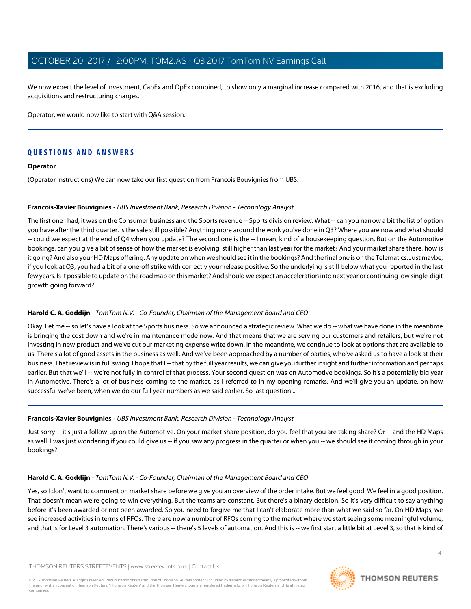We now expect the level of investment, CapEx and OpEx combined, to show only a marginal increase compared with 2016, and that is excluding acquisitions and restructuring charges.

Operator, we would now like to start with Q&A session.

# **QUESTIONS AND ANSWERS**

#### **Operator**

<span id="page-3-0"></span>(Operator Instructions) We can now take our first question from Francois Bouvignies from UBS.

# **Francois-Xavier Bouvignies** - UBS Investment Bank, Research Division - Technology Analyst

The first one I had, it was on the Consumer business and the Sports revenue -- Sports division review. What -- can you narrow a bit the list of option you have after the third quarter. Is the sale still possible? Anything more around the work you've done in Q3? Where you are now and what should -- could we expect at the end of Q4 when you update? The second one is the -- I mean, kind of a housekeeping question. But on the Automotive bookings, can you give a bit of sense of how the market is evolving, still higher than last year for the market? And your market share there, how is it going? And also your HD Maps offering. Any update on when we should see it in the bookings? And the final one is on the Telematics. Just maybe, if you look at Q3, you had a bit of a one-off strike with correctly your release positive. So the underlying is still below what you reported in the last few years. Is it possible to update on the road map on this market? And should we expect an acceleration into next year or continuing low single-digit growth going forward?

# **Harold C. A. Goddijn** - TomTom N.V. - Co-Founder, Chairman of the Management Board and CEO

Okay. Let me -- so let's have a look at the Sports business. So we announced a strategic review. What we do -- what we have done in the meantime is bringing the cost down and we're in maintenance mode now. And that means that we are serving our customers and retailers, but we're not investing in new product and we've cut our marketing expense write down. In the meantime, we continue to look at options that are available to us. There's a lot of good assets in the business as well. And we've been approached by a number of parties, who've asked us to have a look at their business. That review is in full swing. I hope that I -- that by the full year results, we can give you further insight and further information and perhaps earlier. But that we'll -- we're not fully in control of that process. Your second question was on Automotive bookings. So it's a potentially big year in Automotive. There's a lot of business coming to the market, as I referred to in my opening remarks. And we'll give you an update, on how successful we've been, when we do our full year numbers as we said earlier. So last question...

# **Francois-Xavier Bouvignies** - UBS Investment Bank, Research Division - Technology Analyst

Just sorry -- it's just a follow-up on the Automotive. On your market share position, do you feel that you are taking share? Or -- and the HD Maps as well. I was just wondering if you could give us -- if you saw any progress in the quarter or when you -- we should see it coming through in your bookings?

# **Harold C. A. Goddijn** - TomTom N.V. - Co-Founder, Chairman of the Management Board and CEO

Yes, so I don't want to comment on market share before we give you an overview of the order intake. But we feel good. We feel in a good position. That doesn't mean we're going to win everything. But the teams are constant. But there's a binary decision. So it's very difficult to say anything before it's been awarded or not been awarded. So you need to forgive me that I can't elaborate more than what we said so far. On HD Maps, we see increased activities in terms of RFQs. There are now a number of RFQs coming to the market where we start seeing some meaningful volume, and that is for Level 3 automation. There's various -- there's 5 levels of automation. And this is -- we first start a little bit at Level 3, so that is kind of

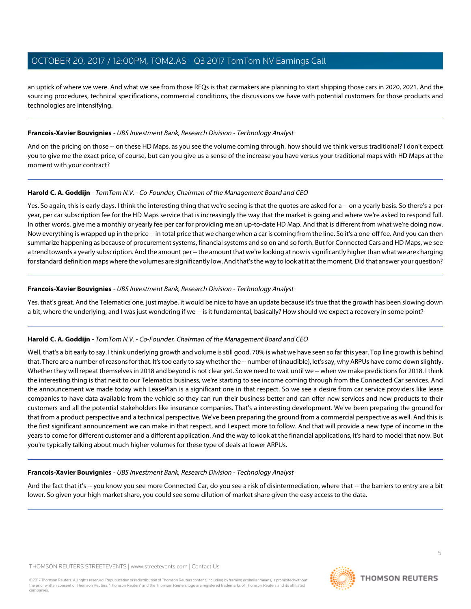an uptick of where we were. And what we see from those RFQs is that carmakers are planning to start shipping those cars in 2020, 2021. And the sourcing procedures, technical specifications, commercial conditions, the discussions we have with potential customers for those products and technologies are intensifying.

#### **Francois-Xavier Bouvignies** - UBS Investment Bank, Research Division - Technology Analyst

And on the pricing on those -- on these HD Maps, as you see the volume coming through, how should we think versus traditional? I don't expect you to give me the exact price, of course, but can you give us a sense of the increase you have versus your traditional maps with HD Maps at the moment with your contract?

# **Harold C. A. Goddijn** - TomTom N.V. - Co-Founder, Chairman of the Management Board and CEO

Yes. So again, this is early days. I think the interesting thing that we're seeing is that the quotes are asked for a -- on a yearly basis. So there's a per year, per car subscription fee for the HD Maps service that is increasingly the way that the market is going and where we're asked to respond full. In other words, give me a monthly or yearly fee per car for providing me an up-to-date HD Map. And that is different from what we're doing now. Now everything is wrapped up in the price -- in total price that we charge when a car is coming from the line. So it's a one-off fee. And you can then summarize happening as because of procurement systems, financial systems and so on and so forth. But for Connected Cars and HD Maps, we see a trend towards a yearly subscription. And the amount per -- the amount that we're looking at now is significantly higher than what we are charging for standard definition maps where the volumes are significantly low. And that's the way to look at it at the moment. Did that answer your question?

#### **Francois-Xavier Bouvignies** - UBS Investment Bank, Research Division - Technology Analyst

Yes, that's great. And the Telematics one, just maybe, it would be nice to have an update because it's true that the growth has been slowing down a bit, where the underlying, and I was just wondering if we -- is it fundamental, basically? How should we expect a recovery in some point?

# **Harold C. A. Goddijn** - TomTom N.V. - Co-Founder, Chairman of the Management Board and CEO

Well, that's a bit early to say. I think underlying growth and volume is still good, 70% is what we have seen so far this year. Top line growth is behind that. There are a number of reasons for that. It's too early to say whether the -- number of (inaudible), let's say, why ARPUs have come down slightly. Whether they will repeat themselves in 2018 and beyond is not clear yet. So we need to wait until we -- when we make predictions for 2018. I think the interesting thing is that next to our Telematics business, we're starting to see income coming through from the Connected Car services. And the announcement we made today with LeasePlan is a significant one in that respect. So we see a desire from car service providers like lease companies to have data available from the vehicle so they can run their business better and can offer new services and new products to their customers and all the potential stakeholders like insurance companies. That's a interesting development. We've been preparing the ground for that from a product perspective and a technical perspective. We've been preparing the ground from a commercial perspective as well. And this is the first significant announcement we can make in that respect, and I expect more to follow. And that will provide a new type of income in the years to come for different customer and a different application. And the way to look at the financial applications, it's hard to model that now. But you're typically talking about much higher volumes for these type of deals at lower ARPUs.

#### **Francois-Xavier Bouvignies** - UBS Investment Bank, Research Division - Technology Analyst

And the fact that it's -- you know you see more Connected Car, do you see a risk of disintermediation, where that -- the barriers to entry are a bit lower. So given your high market share, you could see some dilution of market share given the easy access to the data.

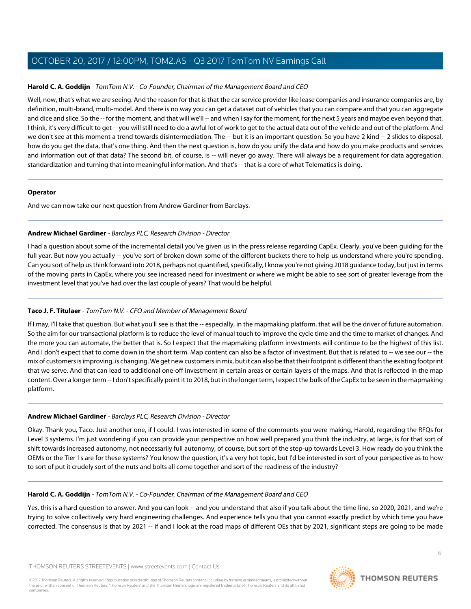# **Harold C. A. Goddijn** - TomTom N.V. - Co-Founder, Chairman of the Management Board and CEO

Well, now, that's what we are seeing. And the reason for that is that the car service provider like lease companies and insurance companies are, by definition, multi-brand, multi-model. And there is no way you can get a dataset out of vehicles that you can compare and that you can aggregate and dice and slice. So the -- for the moment, and that will we'll -- and when I say for the moment, for the next 5 years and maybe even beyond that, I think, it's very difficult to get -- you will still need to do a awful lot of work to get to the actual data out of the vehicle and out of the platform. And we don't see at this moment a trend towards disintermediation. The -- but it is an important question. So you have 2 kind -- 2 slides to disposal, how do you get the data, that's one thing. And then the next question is, how do you unify the data and how do you make products and services and information out of that data? The second bit, of course, is -- will never go away. There will always be a requirement for data aggregation, standardization and turning that into meaningful information. And that's -- that is a core of what Telematics is doing.

#### **Operator**

<span id="page-5-0"></span>And we can now take our next question from Andrew Gardiner from Barclays.

# **Andrew Michael Gardiner** - Barclays PLC, Research Division - Director

I had a question about some of the incremental detail you've given us in the press release regarding CapEx. Clearly, you've been guiding for the full year. But now you actually -- you've sort of broken down some of the different buckets there to help us understand where you're spending. Can you sort of help us think forward into 2018, perhaps not quantified, specifically, I know you're not giving 2018 guidance today, but just in terms of the moving parts in CapEx, where you see increased need for investment or where we might be able to see sort of greater leverage from the investment level that you've had over the last couple of years? That would be helpful.

# **Taco J. F. Titulaer** - TomTom N.V. - CFO and Member of Management Board

If I may, I'll take that question. But what you'll see is that the -- especially, in the mapmaking platform, that will be the driver of future automation. So the aim for our transactional platform is to reduce the level of manual touch to improve the cycle time and the time to market of changes. And the more you can automate, the better that is. So I expect that the mapmaking platform investments will continue to be the highest of this list. And I don't expect that to come down in the short term. Map content can also be a factor of investment. But that is related to -- we see our -- the mix of customers is improving, is changing. We get new customers in mix, but it can also be that their footprint is different than the existing footprint that we serve. And that can lead to additional one-off investment in certain areas or certain layers of the maps. And that is reflected in the map content. Over a longer term -- I don't specifically point it to 2018, but in the longer term, I expect the bulk of the CapEx to be seen in the mapmaking platform.

# **Andrew Michael Gardiner** - Barclays PLC, Research Division - Director

Okay. Thank you, Taco. Just another one, if I could. I was interested in some of the comments you were making, Harold, regarding the RFQs for Level 3 systems. I'm just wondering if you can provide your perspective on how well prepared you think the industry, at large, is for that sort of shift towards increased autonomy, not necessarily full autonomy, of course, but sort of the step-up towards Level 3. How ready do you think the OEMs or the Tier 1s are for these systems? You know the question, it's a very hot topic, but I'd be interested in sort of your perspective as to how to sort of put it crudely sort of the nuts and bolts all come together and sort of the readiness of the industry?

# **Harold C. A. Goddijn** - TomTom N.V. - Co-Founder, Chairman of the Management Board and CEO

Yes, this is a hard question to answer. And you can look -- and you understand that also if you talk about the time line, so 2020, 2021, and we're trying to solve collectively very hard engineering challenges. And experience tells you that you cannot exactly predict by which time you have corrected. The consensus is that by 2021 -- if and I look at the road maps of different OEs that by 2021, significant steps are going to be made

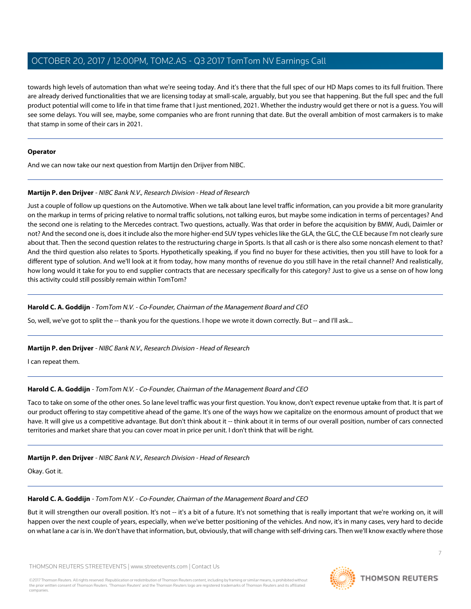towards high levels of automation than what we're seeing today. And it's there that the full spec of our HD Maps comes to its full fruition. There are already derived functionalities that we are licensing today at small-scale, arguably, but you see that happening. But the full spec and the full product potential will come to life in that time frame that I just mentioned, 2021. Whether the industry would get there or not is a guess. You will see some delays. You will see, maybe, some companies who are front running that date. But the overall ambition of most carmakers is to make that stamp in some of their cars in 2021.

#### **Operator**

<span id="page-6-0"></span>And we can now take our next question from Martijn den Drijver from NIBC.

# **Martijn P. den Drijver** - NIBC Bank N.V., Research Division - Head of Research

Just a couple of follow up questions on the Automotive. When we talk about lane level traffic information, can you provide a bit more granularity on the markup in terms of pricing relative to normal traffic solutions, not talking euros, but maybe some indication in terms of percentages? And the second one is relating to the Mercedes contract. Two questions, actually. Was that order in before the acquisition by BMW, Audi, Daimler or not? And the second one is, does it include also the more higher-end SUV types vehicles like the GLA, the GLC, the CLE because I'm not clearly sure about that. Then the second question relates to the restructuring charge in Sports. Is that all cash or is there also some noncash element to that? And the third question also relates to Sports. Hypothetically speaking, if you find no buyer for these activities, then you still have to look for a different type of solution. And we'll look at it from today, how many months of revenue do you still have in the retail channel? And realistically, how long would it take for you to end supplier contracts that are necessary specifically for this category? Just to give us a sense on of how long this activity could still possibly remain within TomTom?

# **Harold C. A. Goddijn** - TomTom N.V. - Co-Founder, Chairman of the Management Board and CEO

So, well, we've got to split the -- thank you for the questions. I hope we wrote it down correctly. But -- and I'll ask...

# **Martijn P. den Drijver** - NIBC Bank N.V., Research Division - Head of Research

I can repeat them.

# **Harold C. A. Goddijn** - TomTom N.V. - Co-Founder, Chairman of the Management Board and CEO

Taco to take on some of the other ones. So lane level traffic was your first question. You know, don't expect revenue uptake from that. It is part of our product offering to stay competitive ahead of the game. It's one of the ways how we capitalize on the enormous amount of product that we have. It will give us a competitive advantage. But don't think about it -- think about it in terms of our overall position, number of cars connected territories and market share that you can cover moat in price per unit. I don't think that will be right.

# **Martijn P. den Drijver** - NIBC Bank N.V., Research Division - Head of Research

Okay. Got it.

# **Harold C. A. Goddijn** - TomTom N.V. - Co-Founder, Chairman of the Management Board and CEO

But it will strengthen our overall position. It's not -- it's a bit of a future. It's not something that is really important that we're working on, it will happen over the next couple of years, especially, when we've better positioning of the vehicles. And now, it's in many cases, very hard to decide on what lane a car is in. We don't have that information, but, obviously, that will change with self-driving cars. Then we'll know exactly where those

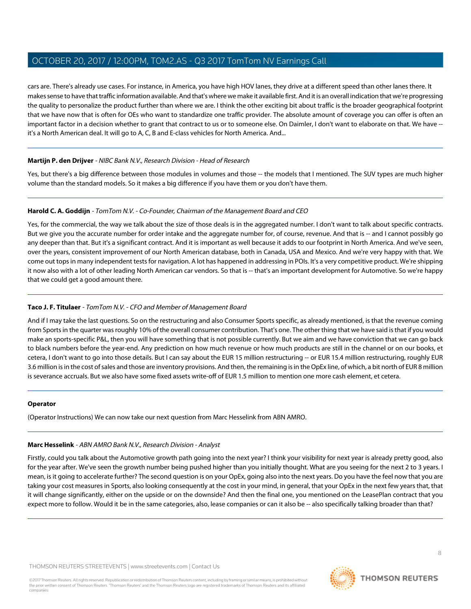cars are. There's already use cases. For instance, in America, you have high HOV lanes, they drive at a different speed than other lanes there. It makes sense to have that traffic information available. And that's where we make it available first. And it is an overall indication that we're progressing the quality to personalize the product further than where we are. I think the other exciting bit about traffic is the broader geographical footprint that we have now that is often for OEs who want to standardize one traffic provider. The absolute amount of coverage you can offer is often an important factor in a decision whether to grant that contract to us or to someone else. On Daimler, I don't want to elaborate on that. We have - it's a North American deal. It will go to A, C, B and E-class vehicles for North America. And...

# **Martijn P. den Drijver** - NIBC Bank N.V., Research Division - Head of Research

Yes, but there's a big difference between those modules in volumes and those -- the models that I mentioned. The SUV types are much higher volume than the standard models. So it makes a big difference if you have them or you don't have them.

# **Harold C. A. Goddijn** - TomTom N.V. - Co-Founder, Chairman of the Management Board and CEO

Yes, for the commercial, the way we talk about the size of those deals is in the aggregated number. I don't want to talk about specific contracts. But we give you the accurate number for order intake and the aggregate number for, of course, revenue. And that is -- and I cannot possibly go any deeper than that. But it's a significant contract. And it is important as well because it adds to our footprint in North America. And we've seen, over the years, consistent improvement of our North American database, both in Canada, USA and Mexico. And we're very happy with that. We come out tops in many independent tests for navigation. A lot has happened in addressing in POIs. It's a very competitive product. We're shipping it now also with a lot of other leading North American car vendors. So that is -- that's an important development for Automotive. So we're happy that we could get a good amount there.

# **Taco J. F. Titulaer** - TomTom N.V. - CFO and Member of Management Board

And if I may take the last questions. So on the restructuring and also Consumer Sports specific, as already mentioned, is that the revenue coming from Sports in the quarter was roughly 10% of the overall consumer contribution. That's one. The other thing that we have said is that if you would make an sports-specific P&L, then you will have something that is not possible currently. But we aim and we have conviction that we can go back to black numbers before the year-end. Any prediction on how much revenue or how much products are still in the channel or on our books, et cetera, I don't want to go into those details. But I can say about the EUR 15 million restructuring -- or EUR 15.4 million restructuring, roughly EUR 3.6 million is in the cost of sales and those are inventory provisions. And then, the remaining is in the OpEx line, of which, a bit north of EUR 8 million is severance accruals. But we also have some fixed assets write-off of EUR 1.5 million to mention one more cash element, et cetera.

# <span id="page-7-0"></span>**Operator**

(Operator Instructions) We can now take our next question from Marc Hesselink from ABN AMRO.

# **Marc Hesselink** - ABN AMRO Bank N.V., Research Division - Analyst

Firstly, could you talk about the Automotive growth path going into the next year? I think your visibility for next year is already pretty good, also for the year after. We've seen the growth number being pushed higher than you initially thought. What are you seeing for the next 2 to 3 years. I mean, is it going to accelerate further? The second question is on your OpEx, going also into the next years. Do you have the feel now that you are taking your cost measures in Sports, also looking consequently at the cost in your mind, in general, that your OpEx in the next few years that, that it will change significantly, either on the upside or on the downside? And then the final one, you mentioned on the LeasePlan contract that you expect more to follow. Would it be in the same categories, also, lease companies or can it also be -- also specifically talking broader than that?

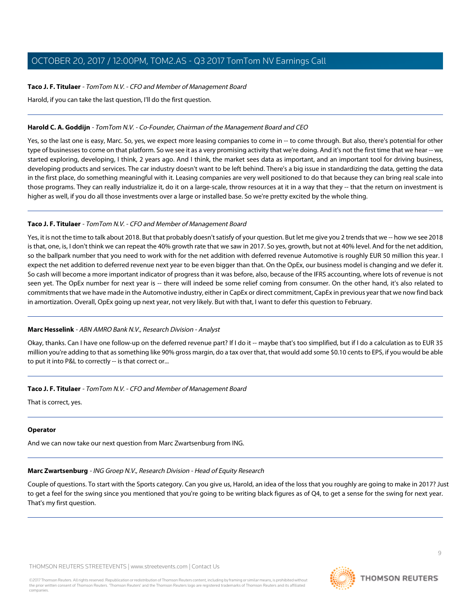# **Taco J. F. Titulaer** - TomTom N.V. - CFO and Member of Management Board

Harold, if you can take the last question, I'll do the first question.

# **Harold C. A. Goddijn** - TomTom N.V. - Co-Founder, Chairman of the Management Board and CEO

Yes, so the last one is easy, Marc. So, yes, we expect more leasing companies to come in -- to come through. But also, there's potential for other type of businesses to come on that platform. So we see it as a very promising activity that we're doing. And it's not the first time that we hear -- we started exploring, developing, I think, 2 years ago. And I think, the market sees data as important, and an important tool for driving business, developing products and services. The car industry doesn't want to be left behind. There's a big issue in standardizing the data, getting the data in the first place, do something meaningful with it. Leasing companies are very well positioned to do that because they can bring real scale into those programs. They can really industrialize it, do it on a large-scale, throw resources at it in a way that they -- that the return on investment is higher as well, if you do all those investments over a large or installed base. So we're pretty excited by the whole thing.

# **Taco J. F. Titulaer** - TomTom N.V. - CFO and Member of Management Board

Yes, it is not the time to talk about 2018. But that probably doesn't satisfy of your question. But let me give you 2 trends that we -- how we see 2018 is that, one, is, I don't think we can repeat the 40% growth rate that we saw in 2017. So yes, growth, but not at 40% level. And for the net addition, so the ballpark number that you need to work with for the net addition with deferred revenue Automotive is roughly EUR 50 million this year. I expect the net addition to deferred revenue next year to be even bigger than that. On the OpEx, our business model is changing and we defer it. So cash will become a more important indicator of progress than it was before, also, because of the IFRS accounting, where lots of revenue is not seen yet. The OpEx number for next year is -- there will indeed be some relief coming from consumer. On the other hand, it's also related to commitments that we have made in the Automotive industry, either in CapEx or direct commitment, CapEx in previous year that we now find back in amortization. Overall, OpEx going up next year, not very likely. But with that, I want to defer this question to February.

# **Marc Hesselink** - ABN AMRO Bank N.V., Research Division - Analyst

Okay, thanks. Can I have one follow-up on the deferred revenue part? If I do it -- maybe that's too simplified, but if I do a calculation as to EUR 35 million you're adding to that as something like 90% gross margin, do a tax over that, that would add some \$0.10 cents to EPS, if you would be able to put it into P&L to correctly -- is that correct or...

# **Taco J. F. Titulaer** - TomTom N.V. - CFO and Member of Management Board

That is correct, yes.

# <span id="page-8-0"></span>**Operator**

And we can now take our next question from Marc Zwartsenburg from ING.

# **Marc Zwartsenburg** - ING Groep N.V., Research Division - Head of Equity Research

Couple of questions. To start with the Sports category. Can you give us, Harold, an idea of the loss that you roughly are going to make in 2017? Just to get a feel for the swing since you mentioned that you're going to be writing black figures as of Q4, to get a sense for the swing for next year. That's my first question.

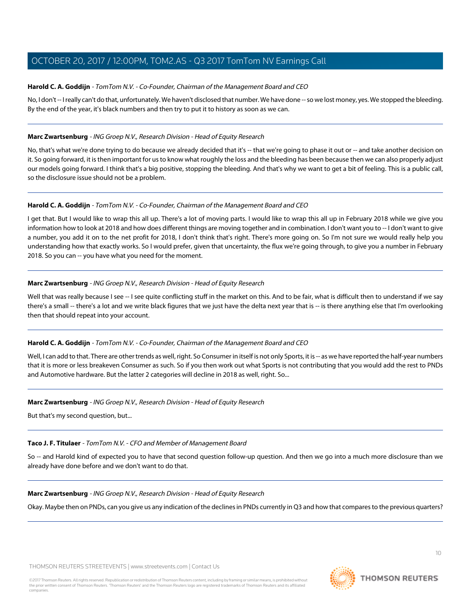#### **Harold C. A. Goddijn** - TomTom N.V. - Co-Founder, Chairman of the Management Board and CEO

No, I don't -- I really can't do that, unfortunately. We haven't disclosed that number. We have done -- so we lost money, yes. We stopped the bleeding. By the end of the year, it's black numbers and then try to put it to history as soon as we can.

#### **Marc Zwartsenburg** - ING Groep N.V., Research Division - Head of Equity Research

No, that's what we're done trying to do because we already decided that it's -- that we're going to phase it out or -- and take another decision on it. So going forward, it is then important for us to know what roughly the loss and the bleeding has been because then we can also properly adjust our models going forward. I think that's a big positive, stopping the bleeding. And that's why we want to get a bit of feeling. This is a public call, so the disclosure issue should not be a problem.

#### **Harold C. A. Goddijn** - TomTom N.V. - Co-Founder, Chairman of the Management Board and CEO

I get that. But I would like to wrap this all up. There's a lot of moving parts. I would like to wrap this all up in February 2018 while we give you information how to look at 2018 and how does different things are moving together and in combination. I don't want you to -- I don't want to give a number, you add it on to the net profit for 2018, I don't think that's right. There's more going on. So I'm not sure we would really help you understanding how that exactly works. So I would prefer, given that uncertainty, the flux we're going through, to give you a number in February 2018. So you can -- you have what you need for the moment.

#### **Marc Zwartsenburg** - ING Groep N.V., Research Division - Head of Equity Research

Well that was really because I see -- I see quite conflicting stuff in the market on this. And to be fair, what is difficult then to understand if we say there's a small -- there's a lot and we write black figures that we just have the delta next year that is -- is there anything else that I'm overlooking then that should repeat into your account.

# **Harold C. A. Goddijn** - TomTom N.V. - Co-Founder, Chairman of the Management Board and CEO

Well, I can add to that. There are other trends as well, right. So Consumer in itself is not only Sports, it is -- as we have reported the half-year numbers that it is more or less breakeven Consumer as such. So if you then work out what Sports is not contributing that you would add the rest to PNDs and Automotive hardware. But the latter 2 categories will decline in 2018 as well, right. So...

#### **Marc Zwartsenburg** - ING Groep N.V., Research Division - Head of Equity Research

But that's my second question, but...

# **Taco J. F. Titulaer** - TomTom N.V. - CFO and Member of Management Board

So -- and Harold kind of expected you to have that second question follow-up question. And then we go into a much more disclosure than we already have done before and we don't want to do that.

# **Marc Zwartsenburg** - ING Groep N.V., Research Division - Head of Equity Research

Okay. Maybe then on PNDs, can you give us any indication of the declines in PNDs currently in Q3 and how that compares to the previous quarters?

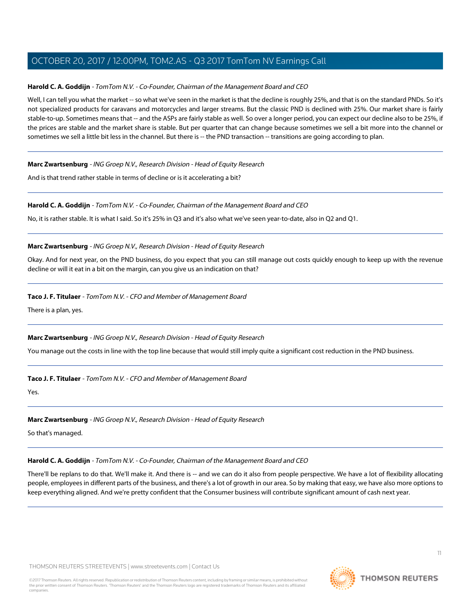#### **Harold C. A. Goddijn** - TomTom N.V. - Co-Founder, Chairman of the Management Board and CEO

Well, I can tell you what the market -- so what we've seen in the market is that the decline is roughly 25%, and that is on the standard PNDs. So it's not specialized products for caravans and motorcycles and larger streams. But the classic PND is declined with 25%. Our market share is fairly stable-to-up. Sometimes means that -- and the ASPs are fairly stable as well. So over a longer period, you can expect our decline also to be 25%, if the prices are stable and the market share is stable. But per quarter that can change because sometimes we sell a bit more into the channel or sometimes we sell a little bit less in the channel. But there is -- the PND transaction -- transitions are going according to plan.

#### **Marc Zwartsenburg** - ING Groep N.V., Research Division - Head of Equity Research

And is that trend rather stable in terms of decline or is it accelerating a bit?

#### **Harold C. A. Goddijn** - TomTom N.V. - Co-Founder, Chairman of the Management Board and CEO

No, it is rather stable. It is what I said. So it's 25% in Q3 and it's also what we've seen year-to-date, also in Q2 and Q1.

#### **Marc Zwartsenburg** - ING Groep N.V., Research Division - Head of Equity Research

Okay. And for next year, on the PND business, do you expect that you can still manage out costs quickly enough to keep up with the revenue decline or will it eat in a bit on the margin, can you give us an indication on that?

#### **Taco J. F. Titulaer** - TomTom N.V. - CFO and Member of Management Board

There is a plan, yes.

# **Marc Zwartsenburg** - ING Groep N.V., Research Division - Head of Equity Research

You manage out the costs in line with the top line because that would still imply quite a significant cost reduction in the PND business.

#### **Taco J. F. Titulaer** - TomTom N.V. - CFO and Member of Management Board

Yes.

#### **Marc Zwartsenburg** - ING Groep N.V., Research Division - Head of Equity Research

So that's managed.

# **Harold C. A. Goddijn** - TomTom N.V. - Co-Founder, Chairman of the Management Board and CEO

There'll be replans to do that. We'll make it. And there is -- and we can do it also from people perspective. We have a lot of flexibility allocating people, employees in different parts of the business, and there's a lot of growth in our area. So by making that easy, we have also more options to keep everything aligned. And we're pretty confident that the Consumer business will contribute significant amount of cash next year.

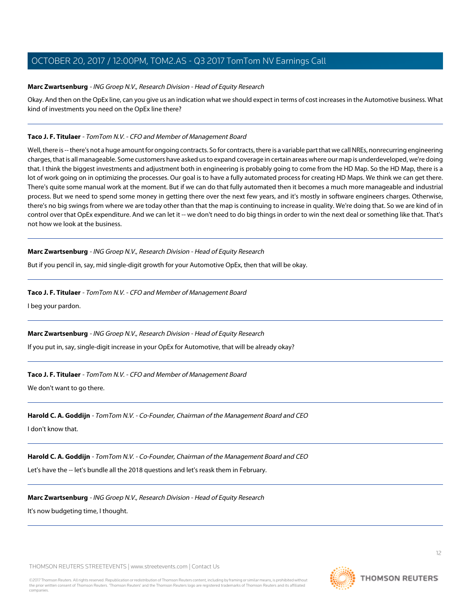#### **Marc Zwartsenburg** - ING Groep N.V., Research Division - Head of Equity Research

Okay. And then on the OpEx line, can you give us an indication what we should expect in terms of cost increases in the Automotive business. What kind of investments you need on the OpEx line there?

#### **Taco J. F. Titulaer** - TomTom N.V. - CFO and Member of Management Board

Well, there is -- there's not a huge amount for ongoing contracts. So for contracts, there is a variable part that we call NREs, nonrecurring engineering charges, that is all manageable. Some customers have asked us to expand coverage in certain areas where our map is underdeveloped, we're doing that. I think the biggest investments and adjustment both in engineering is probably going to come from the HD Map. So the HD Map, there is a lot of work going on in optimizing the processes. Our goal is to have a fully automated process for creating HD Maps. We think we can get there. There's quite some manual work at the moment. But if we can do that fully automated then it becomes a much more manageable and industrial process. But we need to spend some money in getting there over the next few years, and it's mostly in software engineers charges. Otherwise, there's no big swings from where we are today other than that the map is continuing to increase in quality. We're doing that. So we are kind of in control over that OpEx expenditure. And we can let it -- we don't need to do big things in order to win the next deal or something like that. That's not how we look at the business.

#### **Marc Zwartsenburg** - ING Groep N.V., Research Division - Head of Equity Research

But if you pencil in, say, mid single-digit growth for your Automotive OpEx, then that will be okay.

#### **Taco J. F. Titulaer** - TomTom N.V. - CFO and Member of Management Board

I beg your pardon.

#### **Marc Zwartsenburg** - ING Groep N.V., Research Division - Head of Equity Research

If you put in, say, single-digit increase in your OpEx for Automotive, that will be already okay?

# **Taco J. F. Titulaer** - TomTom N.V. - CFO and Member of Management Board

We don't want to go there.

#### **Harold C. A. Goddijn** - TomTom N.V. - Co-Founder, Chairman of the Management Board and CEO

I don't know that.

# **Harold C. A. Goddijn** - TomTom N.V. - Co-Founder, Chairman of the Management Board and CEO

Let's have the -- let's bundle all the 2018 questions and let's reask them in February.

# **Marc Zwartsenburg** - ING Groep N.V., Research Division - Head of Equity Research

It's now budgeting time, I thought.

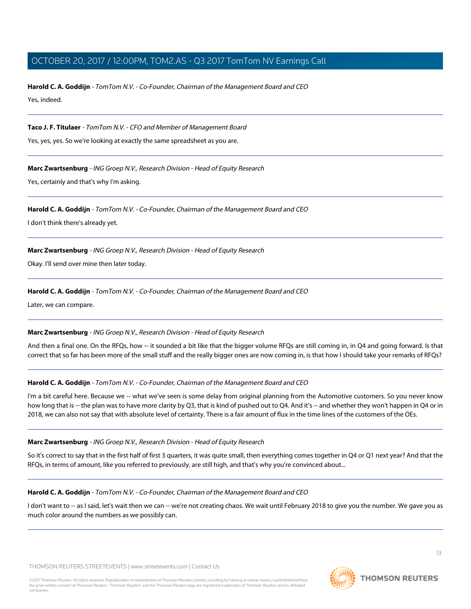**Harold C. A. Goddijn** - TomTom N.V. - Co-Founder, Chairman of the Management Board and CEO Yes, indeed.

**Taco J. F. Titulaer** - TomTom N.V. - CFO and Member of Management Board

Yes, yes, yes. So we're looking at exactly the same spreadsheet as you are.

**Marc Zwartsenburg** - ING Groep N.V., Research Division - Head of Equity Research

Yes, certainly and that's why I'm asking.

**Harold C. A. Goddijn** - TomTom N.V. - Co-Founder, Chairman of the Management Board and CEO

I don't think there's already yet.

**Marc Zwartsenburg** - ING Groep N.V., Research Division - Head of Equity Research

Okay. I'll send over mine then later today.

**Harold C. A. Goddijn** - TomTom N.V. - Co-Founder, Chairman of the Management Board and CEO

Later, we can compare.

# **Marc Zwartsenburg** - ING Groep N.V., Research Division - Head of Equity Research

And then a final one. On the RFQs, how -- it sounded a bit like that the bigger volume RFQs are still coming in, in Q4 and going forward. Is that correct that so far has been more of the small stuff and the really bigger ones are now coming in, is that how I should take your remarks of RFQs?

# **Harold C. A. Goddijn** - TomTom N.V. - Co-Founder, Chairman of the Management Board and CEO

I'm a bit careful here. Because we -- what we've seen is some delay from original planning from the Automotive customers. So you never know how long that is -- the plan was to have more clarity by Q3, that is kind of pushed out to Q4. And it's -- and whether they won't happen in Q4 or in 2018, we can also not say that with absolute level of certainty. There is a fair amount of flux in the time lines of the customers of the OEs.

# **Marc Zwartsenburg** - ING Groep N.V., Research Division - Head of Equity Research

So it's correct to say that in the first half of first 3 quarters, it was quite small, then everything comes together in Q4 or Q1 next year? And that the RFQs, in terms of amount, like you referred to previously, are still high, and that's why you're convinced about...

# **Harold C. A. Goddijn** - TomTom N.V. - Co-Founder, Chairman of the Management Board and CEO

I don't want to -- as I said, let's wait then we can -- we're not creating chaos. We wait until February 2018 to give you the number. We gave you as much color around the numbers as we possibly can.

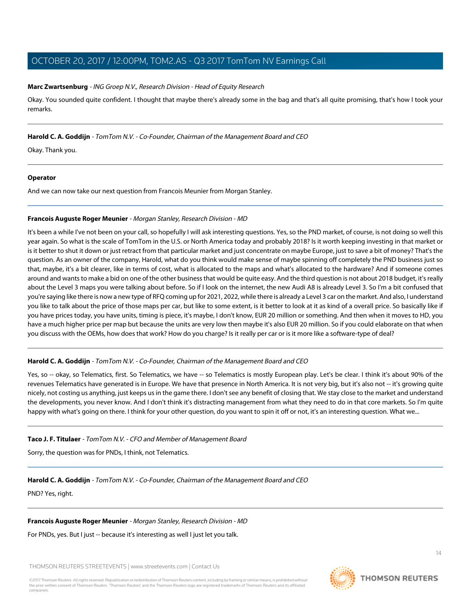#### **Marc Zwartsenburg** - ING Groep N.V., Research Division - Head of Equity Research

Okay. You sounded quite confident. I thought that maybe there's already some in the bag and that's all quite promising, that's how I took your remarks.

#### **Harold C. A. Goddijn** - TomTom N.V. - Co-Founder, Chairman of the Management Board and CEO

Okay. Thank you.

#### **Operator**

<span id="page-13-0"></span>And we can now take our next question from Francois Meunier from Morgan Stanley.

#### **Francois Auguste Roger Meunier** - Morgan Stanley, Research Division - MD

It's been a while I've not been on your call, so hopefully I will ask interesting questions. Yes, so the PND market, of course, is not doing so well this year again. So what is the scale of TomTom in the U.S. or North America today and probably 2018? Is it worth keeping investing in that market or is it better to shut it down or just retract from that particular market and just concentrate on maybe Europe, just to save a bit of money? That's the question. As an owner of the company, Harold, what do you think would make sense of maybe spinning off completely the PND business just so that, maybe, it's a bit clearer, like in terms of cost, what is allocated to the maps and what's allocated to the hardware? And if someone comes around and wants to make a bid on one of the other business that would be quite easy. And the third question is not about 2018 budget, it's really about the Level 3 maps you were talking about before. So if I look on the internet, the new Audi A8 is already Level 3. So I'm a bit confused that you're saying like there is now a new type of RFQ coming up for 2021, 2022, while there is already a Level 3 car on the market. And also, I understand you like to talk about the price of those maps per car, but like to some extent, is it better to look at it as kind of a overall price. So basically like if you have prices today, you have units, timing is piece, it's maybe, I don't know, EUR 20 million or something. And then when it moves to HD, you have a much higher price per map but because the units are very low then maybe it's also EUR 20 million. So if you could elaborate on that when you discuss with the OEMs, how does that work? How do you charge? Is it really per car or is it more like a software-type of deal?

# **Harold C. A. Goddijn** - TomTom N.V. - Co-Founder, Chairman of the Management Board and CEO

Yes, so -- okay, so Telematics, first. So Telematics, we have -- so Telematics is mostly European play. Let's be clear. I think it's about 90% of the revenues Telematics have generated is in Europe. We have that presence in North America. It is not very big, but it's also not -- it's growing quite nicely, not costing us anything, just keeps us in the game there. I don't see any benefit of closing that. We stay close to the market and understand the developments, you never know. And I don't think it's distracting management from what they need to do in that core markets. So I'm quite happy with what's going on there. I think for your other question, do you want to spin it off or not, it's an interesting question. What we...

#### **Taco J. F. Titulaer** - TomTom N.V. - CFO and Member of Management Board

Sorry, the question was for PNDs, I think, not Telematics.

# **Harold C. A. Goddijn** - TomTom N.V. - Co-Founder, Chairman of the Management Board and CEO

PND? Yes, right.

# **Francois Auguste Roger Meunier** - Morgan Stanley, Research Division - MD

For PNDs, yes. But I just -- because it's interesting as well I just let you talk.

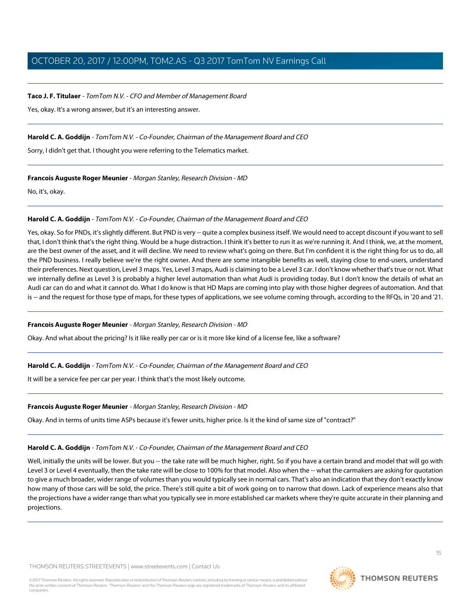#### **Taco J. F. Titulaer** - TomTom N.V. - CFO and Member of Management Board

Yes, okay. It's a wrong answer, but it's an interesting answer.

#### **Harold C. A. Goddijn** - TomTom N.V. - Co-Founder, Chairman of the Management Board and CEO

Sorry, I didn't get that. I thought you were referring to the Telematics market.

#### **Francois Auguste Roger Meunier** - Morgan Stanley, Research Division - MD

No, it's, okay.

#### **Harold C. A. Goddijn** - TomTom N.V. - Co-Founder, Chairman of the Management Board and CEO

Yes, okay. So for PNDs, it's slightly different. But PND is very -- quite a complex business itself. We would need to accept discount if you want to sell that, I don't think that's the right thing. Would be a huge distraction. I think it's better to run it as we're running it. And I think, we, at the moment, are the best owner of the asset, and it will decline. We need to review what's going on there. But I'm confident it is the right thing for us to do, all the PND business. I really believe we're the right owner. And there are some intangible benefits as well, staying close to end-users, understand their preferences. Next question, Level 3 maps. Yes, Level 3 maps, Audi is claiming to be a Level 3 car. I don't know whether that's true or not. What we internally define as Level 3 is probably a higher level automation than what Audi is providing today. But I don't know the details of what an Audi car can do and what it cannot do. What I do know is that HD Maps are coming into play with those higher degrees of automation. And that is -- and the request for those type of maps, for these types of applications, we see volume coming through, according to the RFQs, in '20 and '21.

#### **Francois Auguste Roger Meunier** - Morgan Stanley, Research Division - MD

Okay. And what about the pricing? Is it like really per car or is it more like kind of a license fee, like a software?

# **Harold C. A. Goddijn** - TomTom N.V. - Co-Founder, Chairman of the Management Board and CEO

It will be a service fee per car per year. I think that's the most likely outcome.

#### **Francois Auguste Roger Meunier** - Morgan Stanley, Research Division - MD

Okay. And in terms of units time ASPs because it's fewer units, higher price. Is it the kind of same size of "contract?"

#### **Harold C. A. Goddijn** - TomTom N.V. - Co-Founder, Chairman of the Management Board and CEO

Well, initially the units will be lower. But you -- the take rate will be much higher, right. So if you have a certain brand and model that will go with Level 3 or Level 4 eventually, then the take rate will be close to 100% for that model. Also when the -- what the carmakers are asking for quotation to give a much broader, wider range of volumes than you would typically see in normal cars. That's also an indication that they don't exactly know how many of those cars will be sold, the price. There's still quite a bit of work going on to narrow that down. Lack of experience means also that the projections have a wider range than what you typically see in more established car markets where they're quite accurate in their planning and projections.

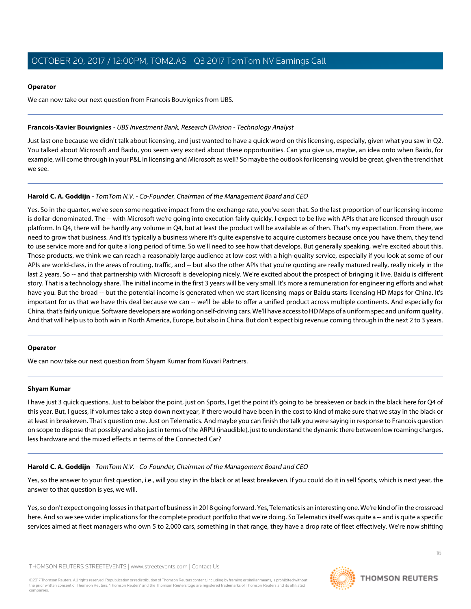#### **Operator**

We can now take our next question from Francois Bouvignies from UBS.

#### **Francois-Xavier Bouvignies** - UBS Investment Bank, Research Division - Technology Analyst

Just last one because we didn't talk about licensing, and just wanted to have a quick word on this licensing, especially, given what you saw in Q2. You talked about Microsoft and Baidu, you seem very excited about these opportunities. Can you give us, maybe, an idea onto when Baidu, for example, will come through in your P&L in licensing and Microsoft as well? So maybe the outlook for licensing would be great, given the trend that we see.

# **Harold C. A. Goddijn** - TomTom N.V. - Co-Founder, Chairman of the Management Board and CEO

Yes. So in the quarter, we've seen some negative impact from the exchange rate, you've seen that. So the last proportion of our licensing income is dollar-denominated. The -- with Microsoft we're going into execution fairly quickly. I expect to be live with APIs that are licensed through user platform. In Q4, there will be hardly any volume in Q4, but at least the product will be available as of then. That's my expectation. From there, we need to grow that business. And it's typically a business where it's quite expensive to acquire customers because once you have them, they tend to use service more and for quite a long period of time. So we'll need to see how that develops. But generally speaking, we're excited about this. Those products, we think we can reach a reasonably large audience at low-cost with a high-quality service, especially if you look at some of our APIs are world-class, in the areas of routing, traffic, and -- but also the other APIs that you're quoting are really matured really, really nicely in the last 2 years. So -- and that partnership with Microsoft is developing nicely. We're excited about the prospect of bringing it live. Baidu is different story. That is a technology share. The initial income in the first 3 years will be very small. It's more a remuneration for engineering efforts and what have you. But the broad -- but the potential income is generated when we start licensing maps or Baidu starts licensing HD Maps for China. It's important for us that we have this deal because we can -- we'll be able to offer a unified product across multiple continents. And especially for China, that's fairly unique. Software developers are working on self-driving cars. We'll have access to HD Maps of a uniform spec and uniform quality. And that will help us to both win in North America, Europe, but also in China. But don't expect big revenue coming through in the next 2 to 3 years.

# <span id="page-15-0"></span>**Operator**

We can now take our next question from Shyam Kumar from Kuvari Partners.

# **Shyam Kumar**

I have just 3 quick questions. Just to belabor the point, just on Sports, I get the point it's going to be breakeven or back in the black here for Q4 of this year. But, I guess, if volumes take a step down next year, if there would have been in the cost to kind of make sure that we stay in the black or at least in breakeven. That's question one. Just on Telematics. And maybe you can finish the talk you were saying in response to Francois question on scope to dispose that possibly and also just in terms of the ARPU (inaudible), just to understand the dynamic there between low roaming charges, less hardware and the mixed effects in terms of the Connected Car?

# **Harold C. A. Goddijn** - TomTom N.V. - Co-Founder, Chairman of the Management Board and CEO

Yes, so the answer to your first question, i.e., will you stay in the black or at least breakeven. If you could do it in sell Sports, which is next year, the answer to that question is yes, we will.

Yes, so don't expect ongoing losses in that part of business in 2018 going forward. Yes, Telematics is an interesting one. We're kind of in the crossroad here. And so we see wider implications for the complete product portfolio that we're doing. So Telematics itself was quite a -- and is quite a specific services aimed at fleet managers who own 5 to 2,000 cars, something in that range, they have a drop rate of fleet effectively. We're now shifting

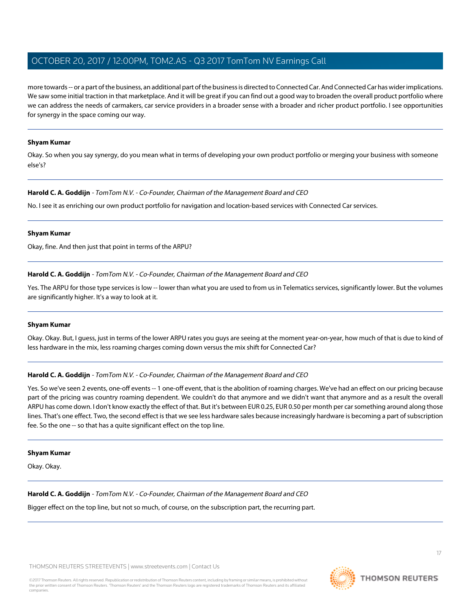more towards -- or a part of the business, an additional part of the business is directed to Connected Car. And Connected Car has wider implications. We saw some initial traction in that marketplace. And it will be great if you can find out a good way to broaden the overall product portfolio where we can address the needs of carmakers, car service providers in a broader sense with a broader and richer product portfolio. I see opportunities for synergy in the space coming our way.

#### **Shyam Kumar**

Okay. So when you say synergy, do you mean what in terms of developing your own product portfolio or merging your business with someone else's?

#### **Harold C. A. Goddijn** - TomTom N.V. - Co-Founder, Chairman of the Management Board and CEO

No. I see it as enriching our own product portfolio for navigation and location-based services with Connected Car services.

#### **Shyam Kumar**

Okay, fine. And then just that point in terms of the ARPU?

#### **Harold C. A. Goddijn** - TomTom N.V. - Co-Founder, Chairman of the Management Board and CEO

Yes. The ARPU for those type services is low -- lower than what you are used to from us in Telematics services, significantly lower. But the volumes are significantly higher. It's a way to look at it.

#### **Shyam Kumar**

Okay. Okay. But, I guess, just in terms of the lower ARPU rates you guys are seeing at the moment year-on-year, how much of that is due to kind of less hardware in the mix, less roaming charges coming down versus the mix shift for Connected Car?

# **Harold C. A. Goddijn** - TomTom N.V. - Co-Founder, Chairman of the Management Board and CEO

Yes. So we've seen 2 events, one-off events -- 1 one-off event, that is the abolition of roaming charges. We've had an effect on our pricing because part of the pricing was country roaming dependent. We couldn't do that anymore and we didn't want that anymore and as a result the overall ARPU has come down. I don't know exactly the effect of that. But it's between EUR 0.25, EUR 0.50 per month per car something around along those lines. That's one effect. Two, the second effect is that we see less hardware sales because increasingly hardware is becoming a part of subscription fee. So the one -- so that has a quite significant effect on the top line.

#### **Shyam Kumar**

Okay. Okay.

**Harold C. A. Goddijn** - TomTom N.V. - Co-Founder, Chairman of the Management Board and CEO

Bigger effect on the top line, but not so much, of course, on the subscription part, the recurring part.